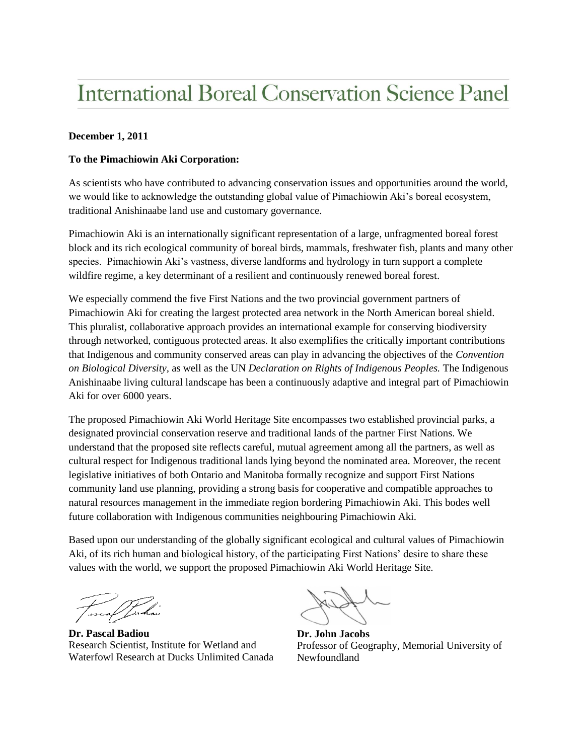## **International Boreal Conservation Science Panel**

## **December 1, 2011**

## **To the Pimachiowin Aki Corporation:**

As scientists who have contributed to advancing conservation issues and opportunities around the world, we would like to acknowledge the outstanding global value of Pimachiowin Aki's boreal ecosystem, traditional Anishinaabe land use and customary governance.

Pimachiowin Aki is an internationally significant representation of a large, unfragmented boreal forest block and its rich ecological community of boreal birds, mammals, freshwater fish, plants and many other species. Pimachiowin Aki's vastness, diverse landforms and hydrology in turn support a complete wildfire regime, a key determinant of a resilient and continuously renewed boreal forest.

We especially commend the five First Nations and the two provincial government partners of Pimachiowin Aki for creating the largest protected area network in the North American boreal shield. This pluralist, collaborative approach provides an international example for conserving biodiversity through networked, contiguous protected areas. It also exemplifies the critically important contributions that Indigenous and community conserved areas can play in advancing the objectives of the *Convention on Biological Diversity,* as well as the UN *Declaration on Rights of Indigenous Peoples.* The Indigenous Anishinaabe living cultural landscape has been a continuously adaptive and integral part of Pimachiowin Aki for over 6000 years.

The proposed Pimachiowin Aki World Heritage Site encompasses two established provincial parks, a designated provincial conservation reserve and traditional lands of the partner First Nations. We understand that the proposed site reflects careful, mutual agreement among all the partners, as well as cultural respect for Indigenous traditional lands lying beyond the nominated area. Moreover, the recent legislative initiatives of both Ontario and Manitoba formally recognize and support First Nations community land use planning, providing a strong basis for cooperative and compatible approaches to natural resources management in the immediate region bordering Pimachiowin Aki. This bodes well future collaboration with Indigenous communities neighbouring Pimachiowin Aki.

Based upon our understanding of the globally significant ecological and cultural values of Pimachiowin Aki, of its rich human and biological history, of the participating First Nations' desire to share these values with the world, we support the proposed Pimachiowin Aki World Heritage Site.

t escal Jahar

**Dr. Pascal Badiou** Research Scientist, Institute for Wetland and Waterfowl Research at Ducks Unlimited Canada

**Dr. John Jacobs** Professor of Geography, Memorial University of Newfoundland